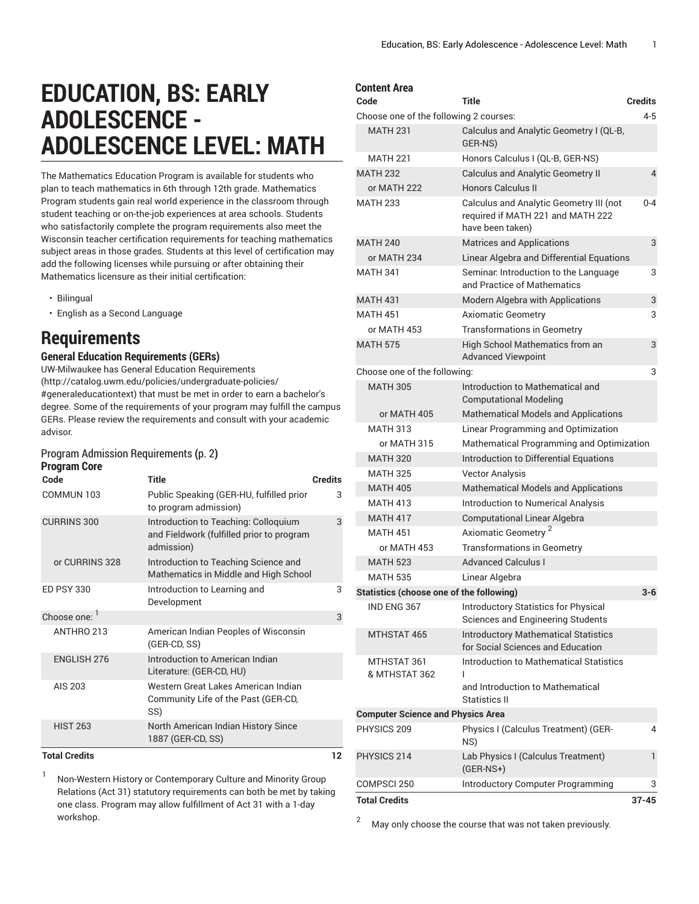# **EDUCATION, BS: EARLY ADOLESCENCE - ADOLESCENCE LEVEL: MATH**

The Mathematics Education Program is available for students who plan to teach mathematics in 6th through 12th grade. Mathematics Program students gain real world experience in the classroom through student teaching or on-the-job experiences at area schools. Students who satisfactorily complete the program requirements also meet the Wisconsin teacher certification requirements for teaching mathematics subject areas in those grades. Students at this level of certification may add the following licenses while pursuing or after obtaining their Mathematics licensure as their initial certification:

- Bilingual
- English as a Second Language

### **Requirements**

### **General Education Requirements (GERs)**

UW-Milwaukee has General Education [Requirements](http://catalog.uwm.edu/policies/undergraduate-policies/#generaleducationtext) ([http://catalog.uwm.edu/policies/undergraduate-policies/](http://catalog.uwm.edu/policies/undergraduate-policies/#generaleducationtext) [#generaleducationtext](http://catalog.uwm.edu/policies/undergraduate-policies/#generaleducationtext)) that must be met in order to earn a bachelor's degree. Some of the requirements of your program may fulfill the campus GERs. Please review the requirements and consult with your academic advisor.

#### [ProgramAdmission](#page-1-0) Requirements **(**[p. 2](#page-1-0)**) Program Core**

| Code                 | <b>Title</b>                                                                                    | <b>Credits</b> |
|----------------------|-------------------------------------------------------------------------------------------------|----------------|
| COMMUN 103           | Public Speaking (GER-HU, fulfilled prior<br>to program admission)                               | 3              |
| <b>CURRINS 300</b>   | Introduction to Teaching: Colloquium<br>and Fieldwork (fulfilled prior to program<br>admission) | 3              |
| or CURRINS 328       | Introduction to Teaching Science and<br>Mathematics in Middle and High School                   |                |
| <b>FD PSY 330</b>    | Introduction to Learning and<br>Development                                                     | 3              |
| Choose one: 1        |                                                                                                 | 3              |
| ANTHRO 213           | American Indian Peoples of Wisconsin<br>(GER-CD, SS)                                            |                |
| <b>ENGLISH 276</b>   | Introduction to American Indian<br>Literature: (GER-CD, HU)                                     |                |
| AIS 203              | Western Great Lakes American Indian<br>Community Life of the Past (GER-CD,<br>SS)               |                |
| <b>HIST 263</b>      | North American Indian History Since<br>1887 (GER-CD, SS)                                        |                |
| <b>Total Credits</b> |                                                                                                 | 12             |

1 Non-Western History or Contemporary Culture and Minority Group Relations (Act 31) statutory requirements can both be met by taking one class. Program may allow fulfillment of Act 31 with a 1-day workshop.

| <b>Content Area</b>                             |                                                                                                  |                |
|-------------------------------------------------|--------------------------------------------------------------------------------------------------|----------------|
| Code                                            | Title                                                                                            | <b>Credits</b> |
| Choose one of the following 2 courses:          |                                                                                                  | 4-5            |
| <b>MATH 231</b>                                 | Calculus and Analytic Geometry I (QL-B,<br>GER-NS)                                               |                |
| <b>MATH 221</b>                                 | Honors Calculus I (QL-B, GER-NS)                                                                 |                |
| <b>MATH 232</b>                                 | <b>Calculus and Analytic Geometry II</b>                                                         | 4              |
| or MATH 222                                     | <b>Honors Calculus II</b>                                                                        |                |
| <b>MATH 233</b>                                 | Calculus and Analytic Geometry III (not<br>required if MATH 221 and MATH 222<br>have been taken) | $0 - 4$        |
| <b>MATH 240</b>                                 | <b>Matrices and Applications</b>                                                                 | 3              |
| or MATH 234                                     | Linear Algebra and Differential Equations                                                        |                |
| <b>MATH 341</b>                                 | Seminar: Introduction to the Language<br>and Practice of Mathematics                             | 3              |
| <b>MATH 431</b>                                 | Modern Algebra with Applications                                                                 | 3              |
| <b>MATH 451</b>                                 | <b>Axiomatic Geometry</b>                                                                        | 3              |
| or MATH 453                                     | <b>Transformations in Geometry</b>                                                               |                |
| <b>MATH 575</b>                                 | High School Mathematics from an<br><b>Advanced Viewpoint</b>                                     | 3              |
| Choose one of the following:                    |                                                                                                  | 3              |
| <b>MATH 305</b>                                 | Introduction to Mathematical and<br><b>Computational Modeling</b>                                |                |
| or MATH 405                                     | <b>Mathematical Models and Applications</b>                                                      |                |
| <b>MATH 313</b>                                 | Linear Programming and Optimization                                                              |                |
| or MATH 315                                     | Mathematical Programming and Optimization                                                        |                |
| <b>MATH 320</b>                                 | Introduction to Differential Equations                                                           |                |
| <b>MATH 325</b>                                 | <b>Vector Analysis</b>                                                                           |                |
| <b>MATH 405</b>                                 | <b>Mathematical Models and Applications</b>                                                      |                |
| <b>MATH 413</b>                                 | <b>Introduction to Numerical Analysis</b>                                                        |                |
| <b>MATH 417</b>                                 | <b>Computational Linear Algebra</b>                                                              |                |
| <b>MATH 451</b>                                 | Axiomatic Geometry <sup>2</sup>                                                                  |                |
| or MATH 453                                     | <b>Transformations in Geometry</b>                                                               |                |
| <b>MATH 523</b>                                 | <b>Advanced Calculus I</b>                                                                       |                |
| <b>MATH 535</b>                                 | Linear Algebra                                                                                   |                |
| <b>Statistics (choose one of the following)</b> |                                                                                                  | 3-6            |
| IND ENG 367                                     | Introductory Statistics for Physical<br>Sciences and Engineering Students                        |                |
| MTHSTAT 465                                     | <b>Introductory Mathematical Statistics</b><br>for Social Sciences and Education                 |                |
| MTHSTAT 361<br>& MTHSTAT 362                    | Introduction to Mathematical Statistics<br>L                                                     |                |
|                                                 | and Introduction to Mathematical<br>Statistics II                                                |                |
| <b>Computer Science and Physics Area</b>        |                                                                                                  |                |
| PHYSICS 209                                     | Physics I (Calculus Treatment) (GER-<br>NS)                                                      | 4              |
| PHYSICS 214                                     | Lab Physics I (Calculus Treatment)<br>$(GER-NS+)$                                                | 1              |
| COMPSCI 250                                     | <b>Introductory Computer Programming</b>                                                         | 3              |
| <b>Total Credits</b>                            |                                                                                                  | $37 - 45$      |

 $2^{2}$  May only choose the course that was not taken previously.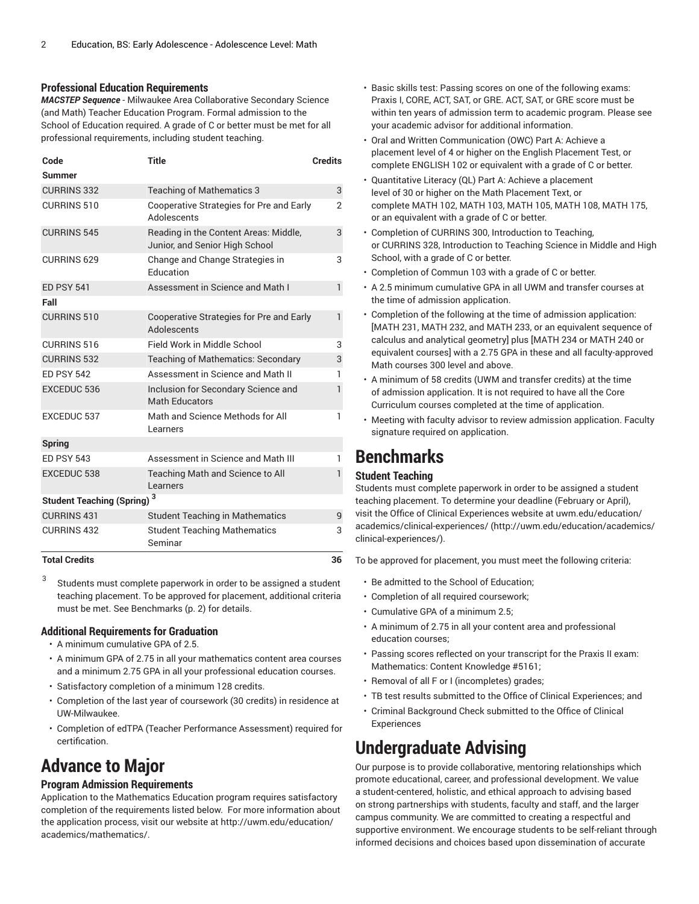#### **Professional Education Requirements**

*MACSTEP Sequence* - Milwaukee Area Collaborative Secondary Science (and Math) Teacher Education Program. Formal admission to the School of Education required. A grade of C or better must be met for all professional requirements, including student teaching.

| Code                                          | <b>Title</b>                                                            | <b>Credits</b> |
|-----------------------------------------------|-------------------------------------------------------------------------|----------------|
| Summer                                        |                                                                         |                |
| <b>CURRINS 332</b>                            | <b>Teaching of Mathematics 3</b>                                        | 3              |
| CURRINS 510                                   | Cooperative Strategies for Pre and Early<br>Adolescents                 | $\overline{2}$ |
| <b>CURRINS 545</b>                            | Reading in the Content Areas: Middle,<br>Junior, and Senior High School | 3              |
| <b>CURRINS 629</b>                            | Change and Change Strategies in<br>Education                            | 3              |
| <b>ED PSY 541</b>                             | Assessment in Science and Math I                                        | $\mathbf{1}$   |
| Fall                                          |                                                                         |                |
| <b>CURRINS 510</b>                            | Cooperative Strategies for Pre and Early<br>Adolescents                 | $\mathbf{1}$   |
| CURRINS 516                                   | Field Work in Middle School                                             | 3              |
| <b>CURRINS 532</b>                            | <b>Teaching of Mathematics: Secondary</b>                               | 3              |
| <b>ED PSY 542</b>                             | Assessment in Science and Math II                                       | 1              |
| <b>EXCEDUC 536</b>                            | Inclusion for Secondary Science and<br><b>Math Educators</b>            | 1              |
| <b>EXCEDUC 537</b>                            | Math and Science Methods for All<br>Learners                            | 1              |
| <b>Spring</b>                                 |                                                                         |                |
| <b>ED PSY 543</b>                             | Assessment in Science and Math III                                      | 1              |
| <b>EXCEDUC 538</b>                            | Teaching Math and Science to All<br>Learners                            | 1              |
| <b>Student Teaching (Spring)</b> <sup>3</sup> |                                                                         |                |
| <b>CURRINS 431</b>                            | <b>Student Teaching in Mathematics</b>                                  | 9              |
| <b>CURRINS 432</b>                            | <b>Student Teaching Mathematics</b><br>Seminar                          | 3              |
| <b>Total Credits</b>                          |                                                                         | 36             |

3 Students must complete paperwork in order to be assigned a student teaching placement. To be approved for placement, additional criteria must be met. See [Benchmarks](#page-1-1) ([p. 2\)](#page-1-1) for details.

### **Additional Requirements for Graduation**

- A minimum cumulative GPA of 2.5.
- A minimum GPA of 2.75 in all your mathematics content area courses and a minimum 2.75 GPA in all your professional education courses.
- Satisfactory completion of a minimum 128 credits.
- Completion of the last year of coursework (30 credits) in residence at UW-Milwaukee.
- Completion of edTPA (Teacher Performance Assessment) required for certification.

### <span id="page-1-0"></span>**Advance to Major**

### **Program Admission Requirements**

Application to the Mathematics Education program requires satisfactory completion of the requirements listed below. For more information about the application process, visit our website at [http://uwm.edu/education/](http://uwm.edu/education/academics/mathematics/) [academics/mathematics/](http://uwm.edu/education/academics/mathematics/).

- Basic skills test: Passing scores on one of the following exams: Praxis I, CORE, ACT, SAT, or GRE. ACT, SAT, or GRE score must be within ten years of admission term to academic program. Please see your academic advisor for additional information.
- Oral and Written Communication (OWC) Part A: Achieve a placement level of 4 or higher on the English Placement Test, or complete ENGLISH 102 or equivalent with a grade of C or better.
- Quantitative Literacy (QL) Part A: Achieve a placement level of 30 or higher on the Math Placement Text, or complete MATH 102, MATH 103, MATH 105, MATH 108, MATH 175, or an equivalent with a grade of C or better.
- Completion of CURRINS 300, Introduction to Teaching, or CURRINS 328, Introduction to Teaching Science in Middle and High School, with a grade of C or better.
- Completion of Commun 103 with a grade of C or better.
- A 2.5 minimum cumulative GPA in all UWM and transfer courses at the time of admission application.
- Completion of the following at the time of admission application: [MATH 231, MATH 232, and MATH 233, or an equivalent sequence of calculus and analytical geometry] plus [MATH 234 or MATH 240 or equivalent courses] with a 2.75 GPA in these and all faculty-approved Math courses 300 level and above.
- A minimum of 58 credits (UWM and transfer credits) at the time of admission application. It is not required to have all the Core Curriculum courses completed at the time of application.
- Meeting with faculty advisor to review admission application. Faculty signature required on application.

### <span id="page-1-1"></span>**Benchmarks**

### **Student Teaching**

Students must complete paperwork in order to be assigned a student teaching placement. To determine your deadline (February or April), visit the Office of Clinical Experiences website at [uwm.edu/education/](http://uwm.edu/education/academics/clinical-experiences/) [academics/clinical-experiences/](http://uwm.edu/education/academics/clinical-experiences/) ([http://uwm.edu/education/academics/](http://uwm.edu/education/academics/clinical-experiences/) [clinical-experiences/\)](http://uwm.edu/education/academics/clinical-experiences/).

To be approved for placement, you must meet the following criteria:

- Be admitted to the School of Education;
- Completion of all required coursework;
- Cumulative GPA of a minimum 2.5;
- A minimum of 2.75 in all your content area and professional education courses;
- Passing scores reflected on your transcript for the Praxis II exam: Mathematics: Content Knowledge #5161;
- Removal of all F or I (incompletes) grades;
- TB test results submitted to the Office of Clinical Experiences; and
- Criminal Background Check submitted to the Office of Clinical Experiences

### **Undergraduate Advising**

Our purpose is to provide collaborative, mentoring relationships which promote educational, career, and professional development. We value a student-centered, holistic, and ethical approach to advising based on strong partnerships with students, faculty and staff, and the larger campus community. We are committed to creating a respectful and supportive environment. We encourage students to be self-reliant through informed decisions and choices based upon dissemination of accurate